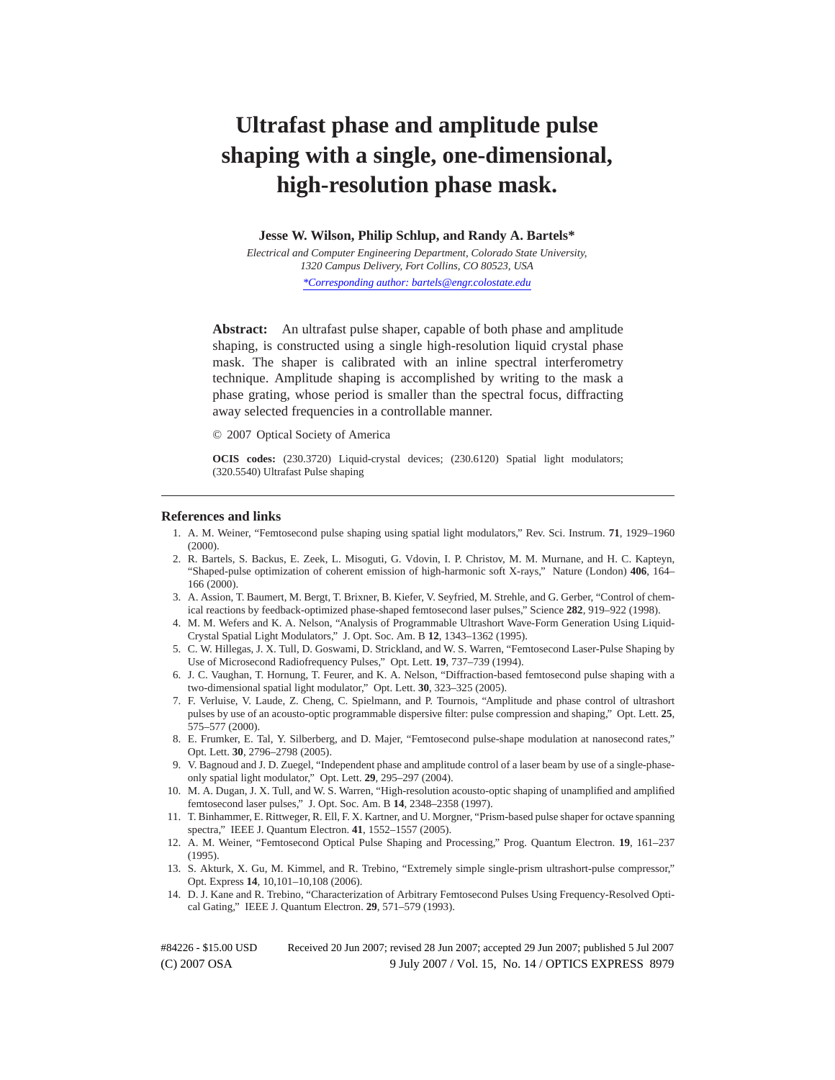# **Ultrafast phase and amplitude pulse shaping with a single, one-dimensional, high-resolution phase mask.**

**Jesse W. Wilson, Philip Schlup, and Randy A. Bartels\***

*Electrical and Computer Engineering Department, Colorado State University, 1320 Campus Delivery, Fort Collins, CO 80523, USA \*Corresponding author: bartels@engr.colostate.edu*

**Abstract:** An ultrafast pulse shaper, capable of both phase and amplitude shaping, is constructed using a single high-resolution liquid crystal phase mask. The shaper is calibrated with an inline spectral interferometry technique. Amplitude shaping is accomplished by writing to the mask a phase grating, whose period is smaller than the spectral focus, diffracting away selected frequencies in a controllable manner.

© 2007 Optical Society of America

**OCIS codes:** (230.3720) Liquid-crystal devices; (230.6120) Spatial light modulators; (320.5540) Ultrafast Pulse shaping

#### **References and links**

- 1. A. M. Weiner, "Femtosecond pulse shaping using spatial light modulators," Rev. Sci. Instrum. **71**, 1929–1960 (2000).
- 2. R. Bartels, S. Backus, E. Zeek, L. Misoguti, G. Vdovin, I. P. Christov, M. M. Murnane, and H. C. Kapteyn, "Shaped-pulse optimization of coherent emission of high-harmonic soft X-rays," Nature (London) **406**, 164– 166 (2000).
- 3. A. Assion, T. Baumert, M. Bergt, T. Brixner, B. Kiefer, V. Seyfried, M. Strehle, and G. Gerber, "Control of chemical reactions by feedback-optimized phase-shaped femtosecond laser pulses," Science **282**, 919–922 (1998).
- 4. M. M. Wefers and K. A. Nelson, "Analysis of Programmable Ultrashort Wave-Form Generation Using Liquid-Crystal Spatial Light Modulators," J. Opt. Soc. Am. B **12**, 1343–1362 (1995).
- 5. C. W. Hillegas, J. X. Tull, D. Goswami, D. Strickland, and W. S. Warren, "Femtosecond Laser-Pulse Shaping by Use of Microsecond Radiofrequency Pulses," Opt. Lett. **19**, 737–739 (1994).
- 6. J. C. Vaughan, T. Hornung, T. Feurer, and K. A. Nelson, "Diffraction-based femtosecond pulse shaping with a two-dimensional spatial light modulator," Opt. Lett. **30**, 323–325 (2005).
- 7. F. Verluise, V. Laude, Z. Cheng, C. Spielmann, and P. Tournois, "Amplitude and phase control of ultrashort pulses by use of an acousto-optic programmable dispersive filter: pulse compression and shaping," Opt. Lett. **25**, 575–577 (2000).
- 8. E. Frumker, E. Tal, Y. Silberberg, and D. Majer, "Femtosecond pulse-shape modulation at nanosecond rates," Opt. Lett. **30**, 2796–2798 (2005).
- 9. V. Bagnoud and J. D. Zuegel, "Independent phase and amplitude control of a laser beam by use of a single-phaseonly spatial light modulator," Opt. Lett. **29**, 295–297 (2004).
- 10. M. A. Dugan, J. X. Tull, and W. S. Warren, "High-resolution acousto-optic shaping of unamplified and amplified femtosecond laser pulses," J. Opt. Soc. Am. B **14**, 2348–2358 (1997).
- 11. T. Binhammer, E. Rittweger, R. Ell, F. X. Kartner, and U. Morgner, "Prism-based pulse shaper for octave spanning spectra," IEEE J. Quantum Electron. **41**, 1552–1557 (2005).
- 12. A. M. Weiner, "Femtosecond Optical Pulse Shaping and Processing," Prog. Quantum Electron. **19**, 161–237 (1995).
- 13. S. Akturk, X. Gu, M. Kimmel, and R. Trebino, "Extremely simple single-prism ultrashort-pulse compressor," Opt. Express **14**, 10,101–10,108 (2006).
- 14. D. J. Kane and R. Trebino, "Characterization of Arbitrary Femtosecond Pulses Using Frequency-Resolved Optical Gating," IEEE J. Quantum Electron. **29**, 571–579 (1993).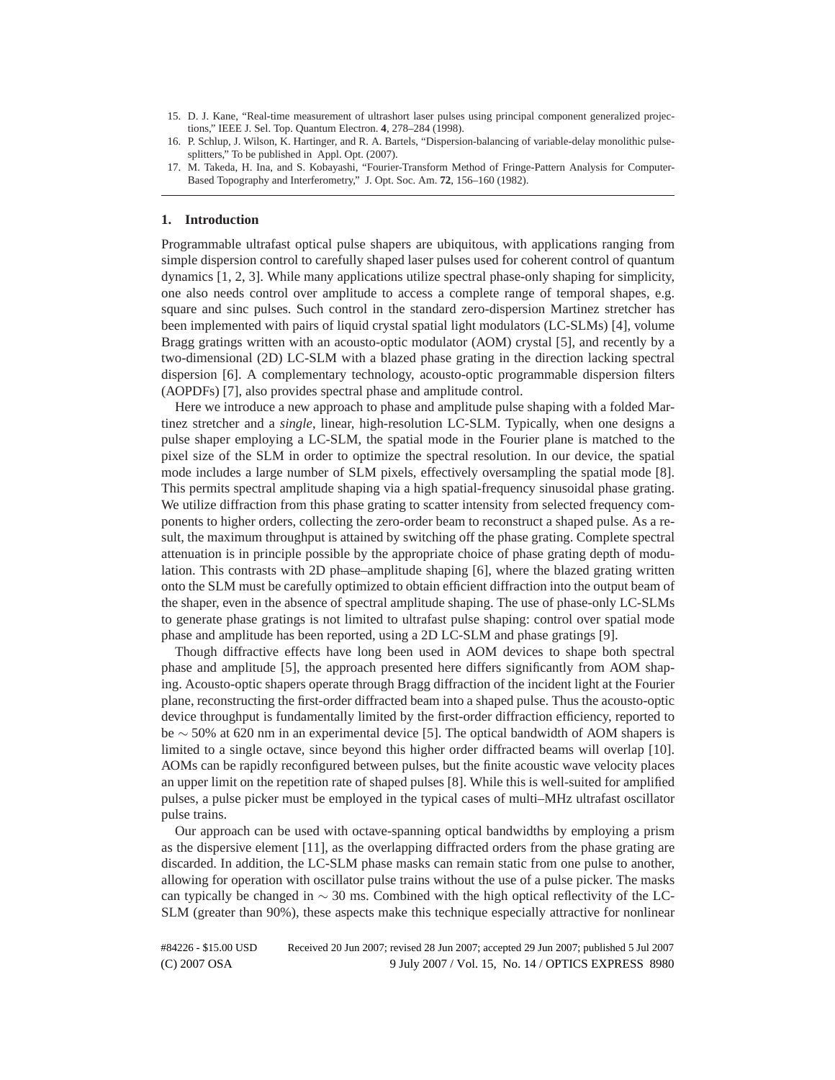- 15. D. J. Kane, "Real-time measurement of ultrashort laser pulses using principal component generalized projections," IEEE J. Sel. Top. Quantum Electron. **4**, 278–284 (1998).
- 16. P. Schlup, J. Wilson, K. Hartinger, and R. A. Bartels, "Dispersion-balancing of variable-delay monolithic pulsesplitters," To be published in Appl. Opt. (2007).
- 17. M. Takeda, H. Ina, and S. Kobayashi, "Fourier-Transform Method of Fringe-Pattern Analysis for Computer-Based Topography and Interferometry," J. Opt. Soc. Am. **72**, 156–160 (1982).

#### **1. Introduction**

Programmable ultrafast optical pulse shapers are ubiquitous, with applications ranging from simple dispersion control to carefully shaped laser pulses used for coherent control of quantum dynamics [1, 2, 3]. While many applications utilize spectral phase-only shaping for simplicity, one also needs control over amplitude to access a complete range of temporal shapes, e.g. square and sinc pulses. Such control in the standard zero-dispersion Martinez stretcher has been implemented with pairs of liquid crystal spatial light modulators (LC-SLMs) [4], volume Bragg gratings written with an acousto-optic modulator (AOM) crystal [5], and recently by a two-dimensional (2D) LC-SLM with a blazed phase grating in the direction lacking spectral dispersion [6]. A complementary technology, acousto-optic programmable dispersion filters (AOPDFs) [7], also provides spectral phase and amplitude control.

Here we introduce a new approach to phase and amplitude pulse shaping with a folded Martinez stretcher and a *single*, linear, high-resolution LC-SLM. Typically, when one designs a pulse shaper employing a LC-SLM, the spatial mode in the Fourier plane is matched to the pixel size of the SLM in order to optimize the spectral resolution. In our device, the spatial mode includes a large number of SLM pixels, effectively oversampling the spatial mode [8]. This permits spectral amplitude shaping via a high spatial-frequency sinusoidal phase grating. We utilize diffraction from this phase grating to scatter intensity from selected frequency components to higher orders, collecting the zero-order beam to reconstruct a shaped pulse. As a result, the maximum throughput is attained by switching off the phase grating. Complete spectral attenuation is in principle possible by the appropriate choice of phase grating depth of modulation. This contrasts with 2D phase–amplitude shaping [6], where the blazed grating written onto the SLM must be carefully optimized to obtain efficient diffraction into the output beam of the shaper, even in the absence of spectral amplitude shaping. The use of phase-only LC-SLMs to generate phase gratings is not limited to ultrafast pulse shaping: control over spatial mode phase and amplitude has been reported, using a 2D LC-SLM and phase gratings [9].

Though diffractive effects have long been used in AOM devices to shape both spectral phase and amplitude [5], the approach presented here differs significantly from AOM shaping. Acousto-optic shapers operate through Bragg diffraction of the incident light at the Fourier plane, reconstructing the first-order diffracted beam into a shaped pulse. Thus the acousto-optic device throughput is fundamentally limited by the first-order diffraction efficiency, reported to be ∼ 50% at 620 nm in an experimental device [5]. The optical bandwidth of AOM shapers is limited to a single octave, since beyond this higher order diffracted beams will overlap [10]. AOMs can be rapidly reconfigured between pulses, but the finite acoustic wave velocity places an upper limit on the repetition rate of shaped pulses [8]. While this is well-suited for amplified pulses, a pulse picker must be employed in the typical cases of multi–MHz ultrafast oscillator pulse trains.

Our approach can be used with octave-spanning optical bandwidths by employing a prism as the dispersive element [11], as the overlapping diffracted orders from the phase grating are discarded. In addition, the LC-SLM phase masks can remain static from one pulse to another, allowing for operation with oscillator pulse trains without the use of a pulse picker. The masks can typically be changed in  $\sim$  30 ms. Combined with the high optical reflectivity of the LC-SLM (greater than 90%), these aspects make this technique especially attractive for nonlinear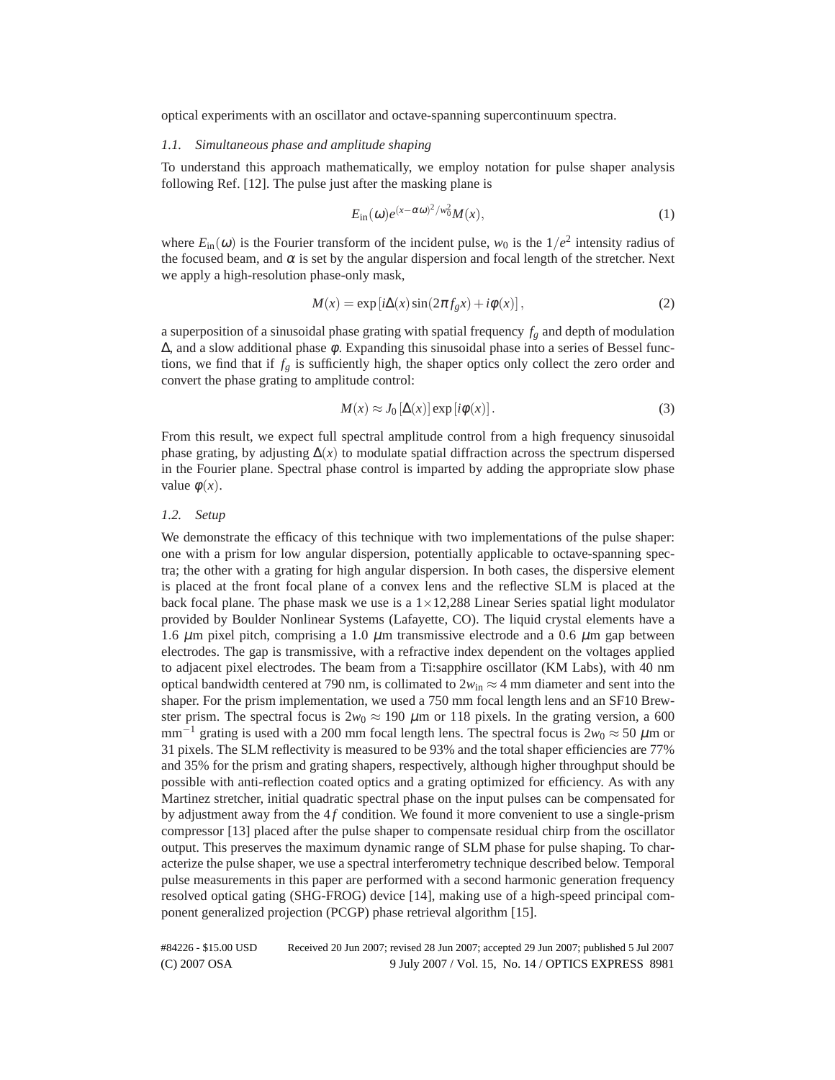optical experiments with an oscillator and octave-spanning supercontinuum spectra.

## *1.1. Simultaneous phase and amplitude shaping*

To understand this approach mathematically, we employ notation for pulse shaper analysis following Ref. [12]. The pulse just after the masking plane is

$$
E_{\rm in}(\omega)e^{(x-\alpha\omega)^2/w_0^2}M(x),\tag{1}
$$

where  $E_{\text{in}}(\omega)$  is the Fourier transform of the incident pulse,  $w_0$  is the  $1/e^2$  intensity radius of the focused beam, and  $\alpha$  is set by the angular dispersion and focal length of the stretcher. Next we apply a high-resolution phase-only mask,

$$
M(x) = \exp[i\Delta(x)\sin(2\pi f_g x) + i\phi(x)],
$$
\n(2)

a superposition of a sinusoidal phase grating with spatial frequency  $f_g$  and depth of modulation  $\Delta$ , and a slow additional phase  $\phi$ . Expanding this sinusoidal phase into a series of Bessel functions, we find that if  $f_g$  is sufficiently high, the shaper optics only collect the zero order and convert the phase grating to amplitude control:

$$
M(x) \approx J_0[\Delta(x)] \exp[i\phi(x)].
$$
\n(3)

From this result, we expect full spectral amplitude control from a high frequency sinusoidal phase grating, by adjusting  $\Delta(x)$  to modulate spatial diffraction across the spectrum dispersed in the Fourier plane. Spectral phase control is imparted by adding the appropriate slow phase value  $\phi(x)$ .

## *1.2. Setup*

We demonstrate the efficacy of this technique with two implementations of the pulse shaper: one with a prism for low angular dispersion, potentially applicable to octave-spanning spectra; the other with a grating for high angular dispersion. In both cases, the dispersive element is placed at the front focal plane of a convex lens and the reflective SLM is placed at the back focal plane. The phase mask we use is a  $1 \times 12,288$  Linear Series spatial light modulator provided by Boulder Nonlinear Systems (Lafayette, CO). The liquid crystal elements have a 1.6  $\mu$ m pixel pitch, comprising a 1.0  $\mu$ m transmissive electrode and a 0.6  $\mu$ m gap between electrodes. The gap is transmissive, with a refractive index dependent on the voltages applied to adjacent pixel electrodes. The beam from a Ti:sapphire oscillator (KM Labs), with 40 nm optical bandwidth centered at 790 nm, is collimated to  $2w_{in} \approx 4$  mm diameter and sent into the shaper. For the prism implementation, we used a 750 mm focal length lens and an SF10 Brewster prism. The spectral focus is  $2w_0 \approx 190 \ \mu \text{m}$  or 118 pixels. In the grating version, a 600 mm<sup>-1</sup> grating is used with a 200 mm focal length lens. The spectral focus is  $2w_0 \approx 50 \ \mu m$  or 31 pixels. The SLM reflectivity is measured to be 93% and the total shaper efficiencies are 77% and 35% for the prism and grating shapers, respectively, although higher throughput should be possible with anti-reflection coated optics and a grating optimized for efficiency. As with any Martinez stretcher, initial quadratic spectral phase on the input pulses can be compensated for by adjustment away from the 4f condition. We found it more convenient to use a single-prism compressor [13] placed after the pulse shaper to compensate residual chirp from the oscillator output. This preserves the maximum dynamic range of SLM phase for pulse shaping. To characterize the pulse shaper, we use a spectral interferometry technique described below. Temporal pulse measurements in this paper are performed with a second harmonic generation frequency resolved optical gating (SHG-FROG) device [14], making use of a high-speed principal component generalized projection (PCGP) phase retrieval algorithm [15].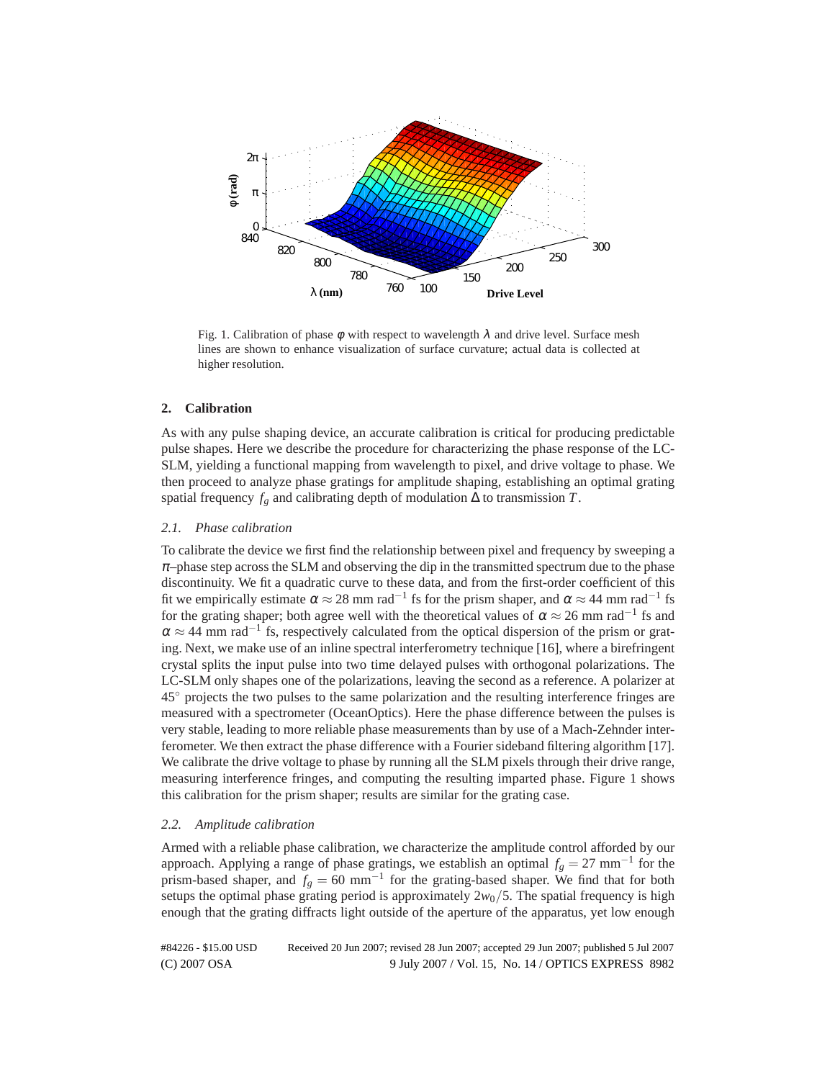

Fig. 1. Calibration of phase  $\phi$  with respect to wavelength  $\lambda$  and drive level. Surface mesh lines are shown to enhance visualization of surface curvature; actual data is collected at higher resolution.

## **2. Calibration**

As with any pulse shaping device, an accurate calibration is critical for producing predictable pulse shapes. Here we describe the procedure for characterizing the phase response of the LC-SLM, yielding a functional mapping from wavelength to pixel, and drive voltage to phase. We then proceed to analyze phase gratings for amplitude shaping, establishing an optimal grating spatial frequency  $f_g$  and calibrating depth of modulation  $\Delta$  to transmission  $T$ .

## *2.1. Phase calibration*

To calibrate the device we first find the relationship between pixel and frequency by sweeping a  $\pi$ –phase step across the SLM and observing the dip in the transmitted spectrum due to the phase discontinuity. We fit a quadratic curve to these data, and from the first-order coefficient of this fit we empirically estimate  $\alpha \approx 28$  mm rad<sup>-1</sup> fs for the prism shaper, and  $\alpha \approx 44$  mm rad<sup>-1</sup> fs for the grating shaper; both agree well with the theoretical values of  $\alpha \approx 26$  mm rad<sup>-1</sup> fs and  $\alpha \approx 44$  mm rad<sup>-1</sup> fs, respectively calculated from the optical dispersion of the prism or grating. Next, we make use of an inline spectral interferometry technique [16], where a birefringent crystal splits the input pulse into two time delayed pulses with orthogonal polarizations. The LC-SLM only shapes one of the polarizations, leaving the second as a reference. A polarizer at 45◦ projects the two pulses to the same polarization and the resulting interference fringes are measured with a spectrometer (OceanOptics). Here the phase difference between the pulses is very stable, leading to more reliable phase measurements than by use of a Mach-Zehnder interferometer. We then extract the phase difference with a Fourier sideband filtering algorithm [17]. We calibrate the drive voltage to phase by running all the SLM pixels through their drive range, measuring interference fringes, and computing the resulting imparted phase. Figure 1 shows this calibration for the prism shaper; results are similar for the grating case.

#### *2.2. Amplitude calibration*

Armed with a reliable phase calibration, we characterize the amplitude control afforded by our approach. Applying a range of phase gratings, we establish an optimal  $f_g = 27 \text{ mm}^{-1}$  for the prism-based shaper, and  $f_g = 60$  mm<sup>-1</sup> for the grating-based shaper. We find that for both setups the optimal phase grating period is approximately  $2w_0/5$ . The spatial frequency is high enough that the grating diffracts light outside of the aperture of the apparatus, yet low enough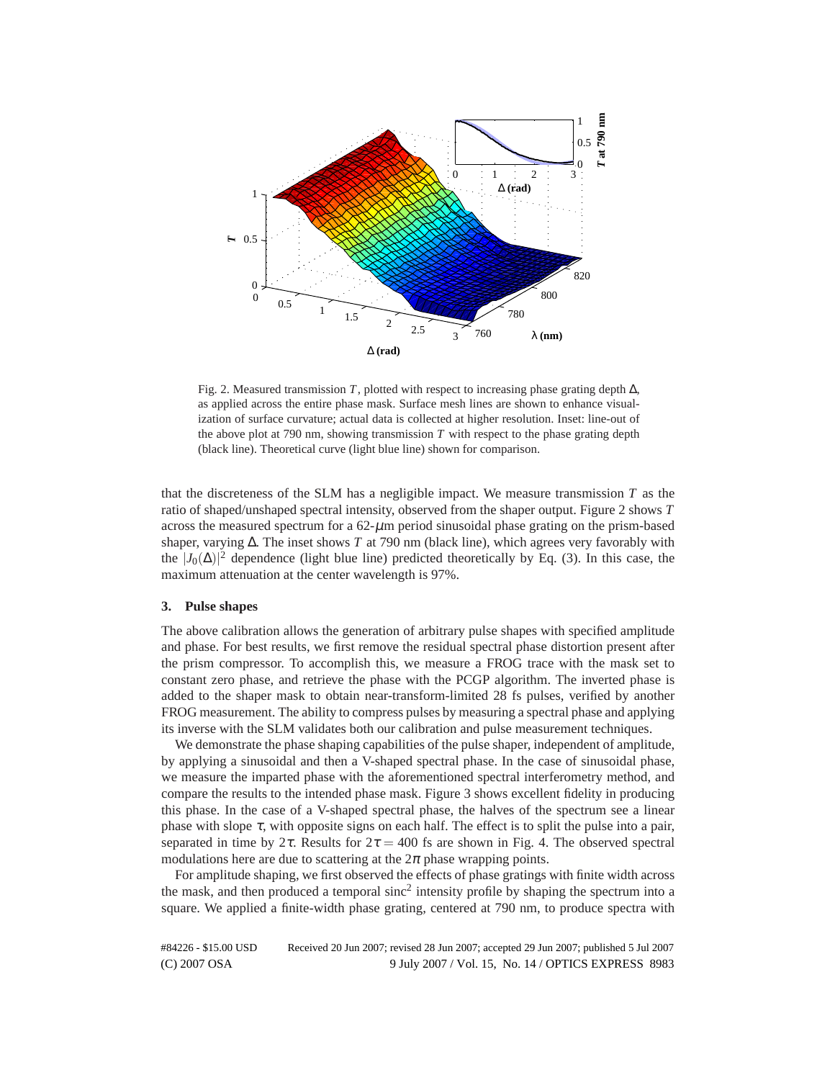

Fig. 2. Measured transmission *T*, plotted with respect to increasing phase grating depth ∆, as applied across the entire phase mask. Surface mesh lines are shown to enhance visualization of surface curvature; actual data is collected at higher resolution. Inset: line-out of the above plot at 790 nm, showing transmission  $T$  with respect to the phase grating depth (black line). Theoretical curve (light blue line) shown for comparison.

that the discreteness of the SLM has a negligible impact. We measure transmission *T* as the ratio of shaped/unshaped spectral intensity, observed from the shaper output. Figure 2 shows *T* across the measured spectrum for a  $62-\mu m$  period sinusoidal phase grating on the prism-based shaper, varying ∆. The inset shows *T* at 790 nm (black line), which agrees very favorably with the  $|J_0(\Delta)|^2$  dependence (light blue line) predicted theoretically by Eq. (3). In this case, the maximum attenuation at the center wavelength is 97%.

## **3. Pulse shapes**

The above calibration allows the generation of arbitrary pulse shapes with specified amplitude and phase. For best results, we first remove the residual spectral phase distortion present after the prism compressor. To accomplish this, we measure a FROG trace with the mask set to constant zero phase, and retrieve the phase with the PCGP algorithm. The inverted phase is added to the shaper mask to obtain near-transform-limited 28 fs pulses, verified by another FROG measurement. The ability to compress pulses by measuring a spectral phase and applying its inverse with the SLM validates both our calibration and pulse measurement techniques.

We demonstrate the phase shaping capabilities of the pulse shaper, independent of amplitude, by applying a sinusoidal and then a V-shaped spectral phase. In the case of sinusoidal phase, we measure the imparted phase with the aforementioned spectral interferometry method, and compare the results to the intended phase mask. Figure 3 shows excellent fidelity in producing this phase. In the case of a V-shaped spectral phase, the halves of the spectrum see a linear phase with slope  $\tau$ , with opposite signs on each half. The effect is to split the pulse into a pair, separated in time by  $2\tau$ . Results for  $2\tau = 400$  fs are shown in Fig. 4. The observed spectral modulations here are due to scattering at the  $2\pi$  phase wrapping points.

For amplitude shaping, we first observed the effects of phase gratings with finite width across the mask, and then produced a temporal sinc<sup>2</sup> intensity profile by shaping the spectrum into a square. We applied a finite-width phase grating, centered at 790 nm, to produce spectra with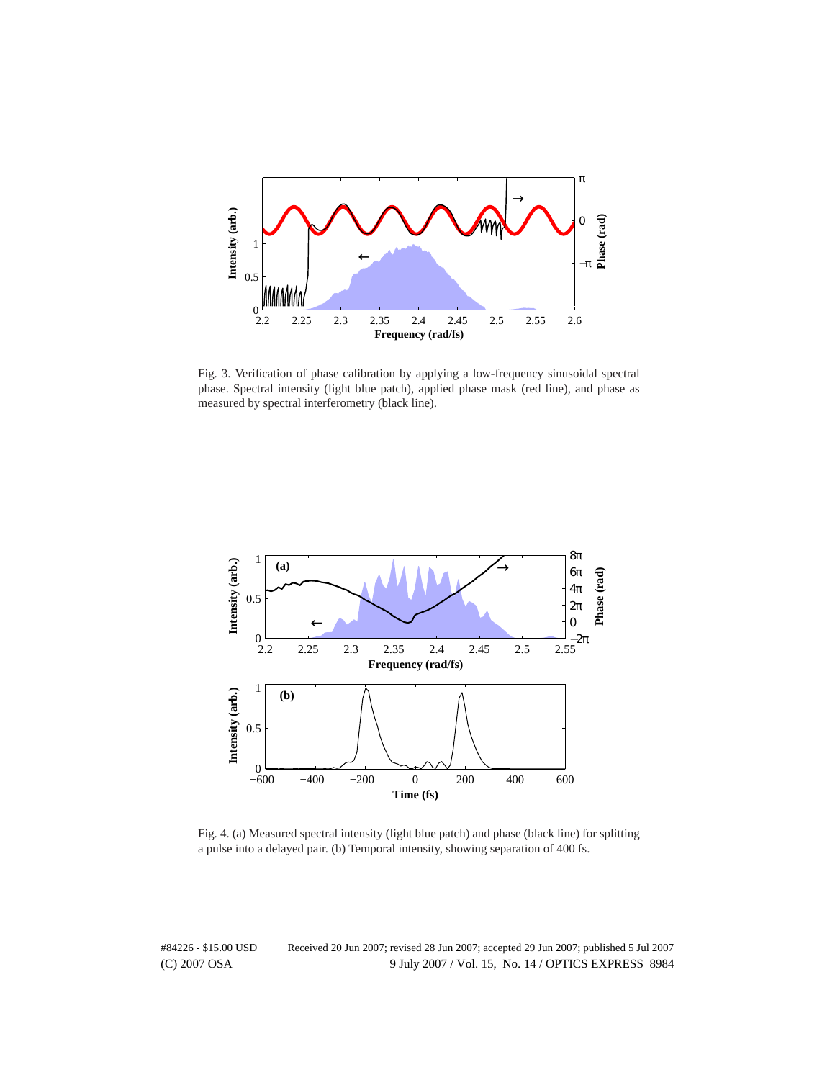

Fig. 3. Verification of phase calibration by applying a low-frequency sinusoidal spectral phase. Spectral intensity (light blue patch), applied phase mask (red line), and phase as measured by spectral interferometry (black line).



Fig. 4. (a) Measured spectral intensity (light blue patch) and phase (black line) for splitting a pulse into a delayed pair. (b) Temporal intensity, showing separation of 400 fs.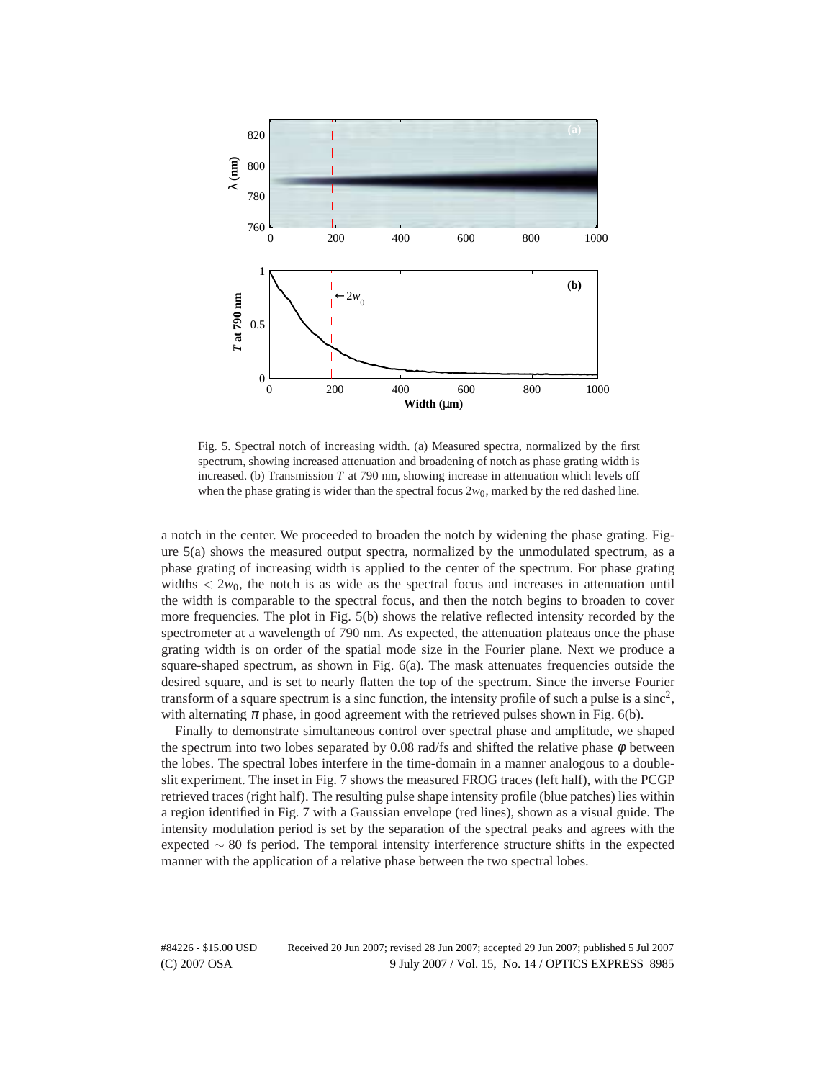

Fig. 5. Spectral notch of increasing width. (a) Measured spectra, normalized by the first spectrum, showing increased attenuation and broadening of notch as phase grating width is increased. (b) Transmission *T* at 790 nm, showing increase in attenuation which levels off when the phase grating is wider than the spectral focus  $2w_0$ , marked by the red dashed line.

a notch in the center. We proceeded to broaden the notch by widening the phase grating. Figure 5(a) shows the measured output spectra, normalized by the unmodulated spectrum, as a phase grating of increasing width is applied to the center of the spectrum. For phase grating widths  $< 2w_0$ , the notch is as wide as the spectral focus and increases in attenuation until the width is comparable to the spectral focus, and then the notch begins to broaden to cover more frequencies. The plot in Fig. 5(b) shows the relative reflected intensity recorded by the spectrometer at a wavelength of 790 nm. As expected, the attenuation plateaus once the phase grating width is on order of the spatial mode size in the Fourier plane. Next we produce a square-shaped spectrum, as shown in Fig. 6(a). The mask attenuates frequencies outside the desired square, and is set to nearly flatten the top of the spectrum. Since the inverse Fourier transform of a square spectrum is a sinc function, the intensity profile of such a pulse is a sinc<sup>2</sup>, with alternating  $\pi$  phase, in good agreement with the retrieved pulses shown in Fig. 6(b).

Finally to demonstrate simultaneous control over spectral phase and amplitude, we shaped the spectrum into two lobes separated by 0.08 rad/fs and shifted the relative phase  $\phi$  between the lobes. The spectral lobes interfere in the time-domain in a manner analogous to a doubleslit experiment. The inset in Fig. 7 shows the measured FROG traces (left half), with the PCGP retrieved traces (right half). The resulting pulse shape intensity profile (blue patches) lies within a region identified in Fig. 7 with a Gaussian envelope (red lines), shown as a visual guide. The intensity modulation period is set by the separation of the spectral peaks and agrees with the expected  $\sim$  80 fs period. The temporal intensity interference structure shifts in the expected manner with the application of a relative phase between the two spectral lobes.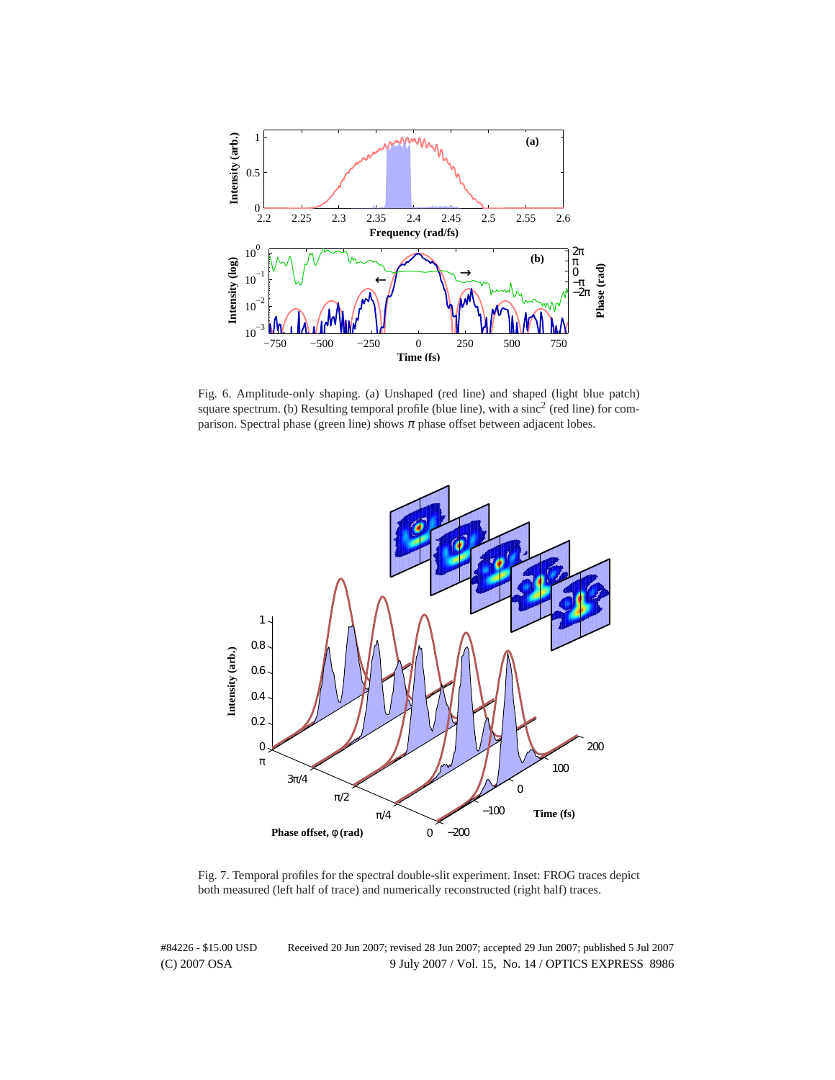

Fig. 6. Amplitude-only shaping. (a) Unshaped (red line) and shaped (light blue patch) square spectrum. (b) Resulting temporal profile (blue line), with a sinc<sup>2</sup> (red line) for comparison. Spectral phase (green line) shows  $\pi$  phase offset between adjacent lobes.



Fig. 7. Temporal profiles for the spectral double-slit experiment. Inset: FROG traces depict both measured (left half of trace) and numerically reconstructed (right half) traces.